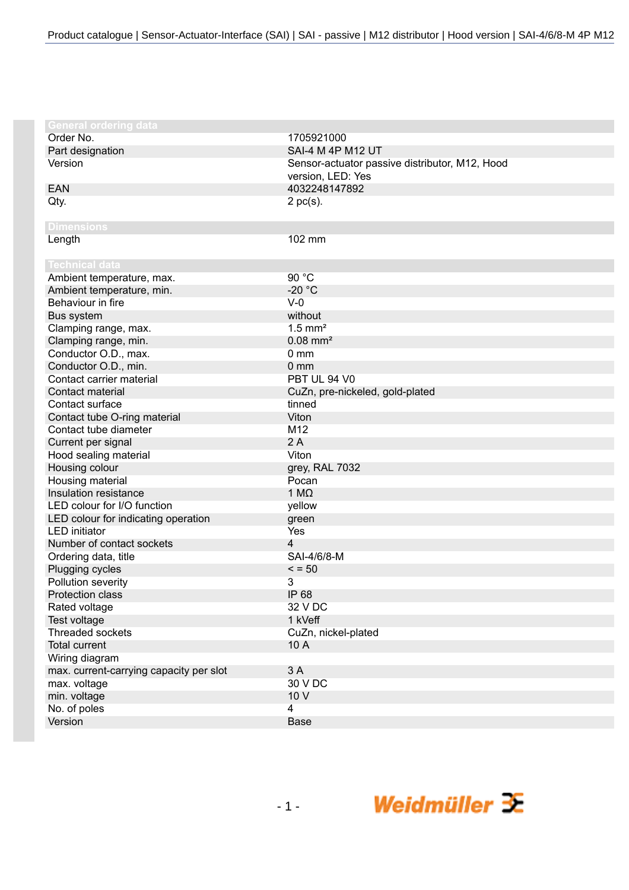| <b>General ordering data</b>            |                                                |
|-----------------------------------------|------------------------------------------------|
| Order No.                               | 1705921000                                     |
| Part designation                        | SAI-4 M 4P M12 UT                              |
| Version                                 | Sensor-actuator passive distributor, M12, Hood |
|                                         | version, LED: Yes                              |
| <b>EAN</b>                              | 4032248147892                                  |
| Qty.                                    | $2$ pc(s).                                     |
|                                         |                                                |
| <b>Dimensions</b>                       |                                                |
| Length                                  | 102 mm                                         |
|                                         |                                                |
| <b>Technical data</b>                   |                                                |
| Ambient temperature, max.               | 90 °C                                          |
| Ambient temperature, min.               | $-20 °C$                                       |
| Behaviour in fire                       | $V-0$                                          |
| Bus system                              | without                                        |
| Clamping range, max.                    | $1.5$ mm <sup>2</sup>                          |
| Clamping range, min.                    | $0.08$ mm <sup>2</sup>                         |
| Conductor O.D., max.                    | 0 <sub>mm</sub>                                |
| Conductor O.D., min.                    | 0 <sub>mm</sub>                                |
| Contact carrier material                | PBT UL 94 V0                                   |
| Contact material                        | CuZn, pre-nickeled, gold-plated                |
| Contact surface                         | tinned                                         |
| Contact tube O-ring material            | Viton                                          |
| Contact tube diameter                   | M12                                            |
| Current per signal                      | 2A                                             |
| Hood sealing material                   | Viton                                          |
| Housing colour                          | grey, RAL 7032                                 |
| Housing material                        | Pocan                                          |
| Insulation resistance                   | 1 $M\Omega$                                    |
| LED colour for I/O function             | yellow                                         |
| LED colour for indicating operation     | green                                          |
| <b>LED</b> initiator                    | Yes                                            |
| Number of contact sockets               | 4                                              |
| Ordering data, title                    | SAI-4/6/8-M                                    |
| Plugging cycles                         | $\le$ = 50                                     |
| Pollution severity                      | 3                                              |
| Protection class                        | IP 68                                          |
| Rated voltage                           | 32 V DC                                        |
| Test voltage                            | 1 kVeff                                        |
| Threaded sockets                        | CuZn, nickel-plated                            |
| <b>Total current</b>                    | 10 A                                           |
| Wiring diagram                          |                                                |
| max. current-carrying capacity per slot | 3 A                                            |
| max. voltage                            | 30 V DC                                        |
| min. voltage                            | 10 V                                           |
| No. of poles                            | 4                                              |
| Version                                 | <b>Base</b>                                    |
|                                         |                                                |